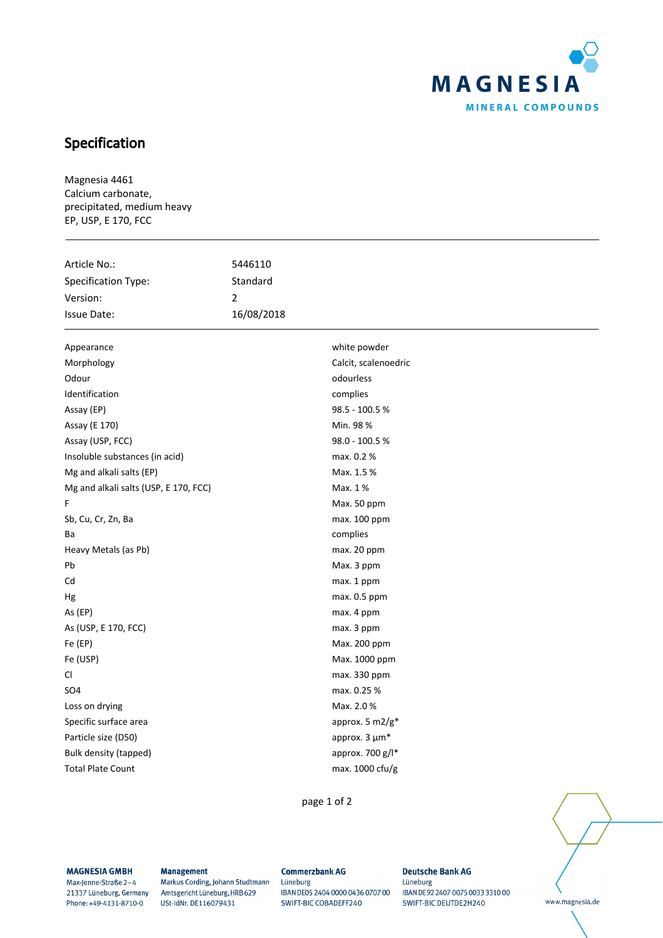

## Specification

Magnesia 4461 Calcium carbonate, precipitated, medium heavy EP, USP, E 170, FCC

| Specification Type:<br>Standard<br>Version:<br>2<br>16/08/2018<br>Issue Date:<br>white powder<br>Appearance<br>Calcit, scalenoedric<br>Morphology<br>Odour<br>odourless<br>Identification<br>complies<br>98.5 - 100.5%<br>Assay (EP)<br>Min. 98 %<br>Assay (E 170)<br>98.0 - 100.5 % | Article No.:     | 5446110 |  |
|--------------------------------------------------------------------------------------------------------------------------------------------------------------------------------------------------------------------------------------------------------------------------------------|------------------|---------|--|
|                                                                                                                                                                                                                                                                                      |                  |         |  |
|                                                                                                                                                                                                                                                                                      |                  |         |  |
|                                                                                                                                                                                                                                                                                      |                  |         |  |
|                                                                                                                                                                                                                                                                                      |                  |         |  |
|                                                                                                                                                                                                                                                                                      |                  |         |  |
|                                                                                                                                                                                                                                                                                      |                  |         |  |
|                                                                                                                                                                                                                                                                                      |                  |         |  |
|                                                                                                                                                                                                                                                                                      |                  |         |  |
|                                                                                                                                                                                                                                                                                      |                  |         |  |
|                                                                                                                                                                                                                                                                                      |                  |         |  |
|                                                                                                                                                                                                                                                                                      | Assay (USP, FCC) |         |  |
| Insoluble substances (in acid)<br>max. 0.2 %                                                                                                                                                                                                                                         |                  |         |  |
| Mg and alkali salts (EP)<br>Max. 1.5 %                                                                                                                                                                                                                                               |                  |         |  |
| Mg and alkali salts (USP, E 170, FCC)<br>Max. 1%                                                                                                                                                                                                                                     |                  |         |  |
| Max. 50 ppm<br>F                                                                                                                                                                                                                                                                     |                  |         |  |
| Sb, Cu, Cr, Zn, Ba<br>max. 100 ppm                                                                                                                                                                                                                                                   |                  |         |  |
| complies<br>Ba                                                                                                                                                                                                                                                                       |                  |         |  |
| Heavy Metals (as Pb)<br>max. 20 ppm                                                                                                                                                                                                                                                  |                  |         |  |
| Pb<br>Max. 3 ppm                                                                                                                                                                                                                                                                     |                  |         |  |
| Cd<br>max. 1 ppm                                                                                                                                                                                                                                                                     |                  |         |  |
| max. 0.5 ppm<br>Hg                                                                                                                                                                                                                                                                   |                  |         |  |
| As (EP)<br>max. 4 ppm                                                                                                                                                                                                                                                                |                  |         |  |
| As (USP, E 170, FCC)<br>max. 3 ppm                                                                                                                                                                                                                                                   |                  |         |  |
| Fe (EP)<br>Max. 200 ppm                                                                                                                                                                                                                                                              |                  |         |  |
| Fe (USP)<br>Max. 1000 ppm                                                                                                                                                                                                                                                            |                  |         |  |
| CI<br>max. 330 ppm                                                                                                                                                                                                                                                                   |                  |         |  |
| SO <sub>4</sub><br>max. 0.25 %                                                                                                                                                                                                                                                       |                  |         |  |
| Max. 2.0%<br>Loss on drying                                                                                                                                                                                                                                                          |                  |         |  |
| approx. 5 m2/g*<br>Specific surface area                                                                                                                                                                                                                                             |                  |         |  |
| Particle size (D50)<br>approx. 3 µm*                                                                                                                                                                                                                                                 |                  |         |  |
| approx. 700 g/l*<br>Bulk density (tapped)                                                                                                                                                                                                                                            |                  |         |  |
| <b>Total Plate Count</b><br>max. 1000 cfu/g                                                                                                                                                                                                                                          |                  |         |  |

page 1 of 2

www.magnesia.de

**MAGNESIA GMBH** 

Max-Jenne-Straße 2-4 21337 Lüneburg, Germany Phone: +49-4131-8710-0

**Management** 

Markus Cording, Johann Studtmann Amtsgericht Lüneburg, HRB 629 USt-IdNr. DE116079431

**Commerzbank AG** Lüneburg IBAN DE05 2404 0000 0436 0707 00 SWIFT-BIC COBADEFF240

**Deutsche Bank AG** Lüneburg IBAN DE 92 2407 0075 0033 3310 00 SWIFT-BIC DEUTDE2H240